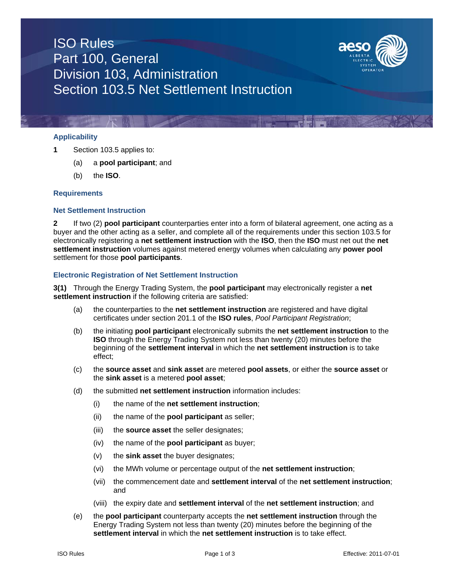# ISO Rules Part 100, General Division 103, Administration Section 103.5 Net Settlement Instruction



# **Applicability**

- **1** Section 103.5 applies to:
	- (a) a **pool participant**; and
	- (b) the **ISO**.

### **Requirements**

## **Net Settlement Instruction**

**2** If two (2) **pool participant** counterparties enter into a form of bilateral agreement, one acting as a buyer and the other acting as a seller, and complete all of the requirements under this section 103.5 for electronically registering a **net settlement instruction** with the **ISO**, then the **ISO** must net out the **net settlement instruction** volumes against metered energy volumes when calculating any **power pool** settlement for those **pool participants**.

## **Electronic Registration of Net Settlement Instruction**

**3(1)** Through the Energy Trading System, the **pool participant** may electronically register a **net settlement instruction** if the following criteria are satisfied:

- (a) the counterparties to the **net settlement instruction** are registered and have digital certificates under section 201.1 of the **ISO rules**, *Pool Participant Registration*;
- (b) the initiating **pool participant** electronically submits the **net settlement instruction** to the **ISO** through the Energy Trading System not less than twenty (20) minutes before the beginning of the **settlement interval** in which the **net settlement instruction** is to take effect;
- (c) the **source asset** and **sink asset** are metered **pool assets**, or either the **source asset** or the **sink asset** is a metered **pool asset**;
- (d) the submitted **net settlement instruction** information includes:
	- (i) the name of the **net settlement instruction**;
	- (ii) the name of the **pool participant** as seller;
	- (iii) the **source asset** the seller designates;
	- (iv) the name of the **pool participant** as buyer;
	- (v) the **sink asset** the buyer designates;
	- (vi) the MWh volume or percentage output of the **net settlement instruction**;
	- (vii) the commencement date and **settlement interval** of the **net settlement instruction**; and
	- (viii) the expiry date and **settlement interval** of the **net settlement instruction**; and
- (e) the **pool participant** counterparty accepts the **net settlement instruction** through the Energy Trading System not less than twenty (20) minutes before the beginning of the **settlement interval** in which the **net settlement instruction** is to take effect.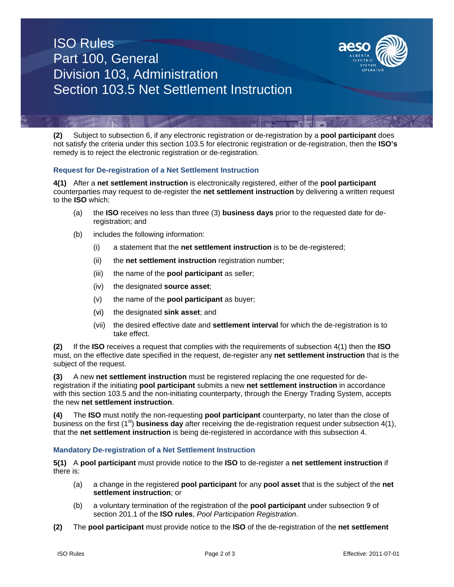# ISO Rules Part 100, General Division 103, Administration Section 103.5 Net Settlement Instruction



**(2)** Subject to subsection 6, if any electronic registration or de-registration by a **pool participant** does not satisfy the criteria under this section 103.5 for electronic registration or de-registration, then the **ISO's** remedy is to reject the electronic registration or de-registration.

## **Request for De-registration of a Net Settlement Instruction**

**4(1)** After a **net settlement instruction** is electronically registered, either of the **pool participant** counterparties may request to de-register the **net settlement instruction** by delivering a written request to the **ISO** which:

- (a) the **ISO** receives no less than three (3) **business days** prior to the requested date for deregistration; and
- (b) includes the following information:
	- (i) a statement that the **net settlement instruction** is to be de-registered;
	- (ii) the **net settlement instruction** registration number;
	- (iii) the name of the **pool participant** as seller;
	- (iv) the designated **source asset**;
	- (v) the name of the **pool participant** as buyer;
	- (vi) the designated **sink asset**; and
	- (vii) the desired effective date and **settlement interval** for which the de-registration is to take effect.

**(2)** If the **ISO** receives a request that complies with the requirements of subsection 4(1) then the **ISO** must, on the effective date specified in the request, de-register any **net settlement instruction** that is the subject of the request.

**(3)** A new **net settlement instruction** must be registered replacing the one requested for deregistration if the initiating **pool participant** submits a new **net settlement instruction** in accordance with this section 103.5 and the non-initiating counterparty, through the Energy Trading System, accepts the new **net settlement instruction**.

**(4)** The **ISO** must notify the non-requesting **pool participant** counterparty, no later than the close of business on the first (1<sup>st</sup>) **business day** after receiving the de-registration request under subsection 4(1), that the **net settlement instruction** is being de-registered in accordance with this subsection 4.

#### **Mandatory De-registration of a Net Settlement Instruction**

**5(1)** A **pool participant** must provide notice to the **ISO** to de-register a **net settlement instruction** if there is:

- (a) a change in the registered **pool participant** for any **pool asset** that is the subject of the **net settlement instruction**; or
- (b) a voluntary termination of the registration of the **pool participant** under subsection 9 of section 201.1 of the **ISO rules**, *Pool Participation Registration*.
- **(2)** The **pool participant** must provide notice to the **ISO** of the de-registration of the **net settlement**